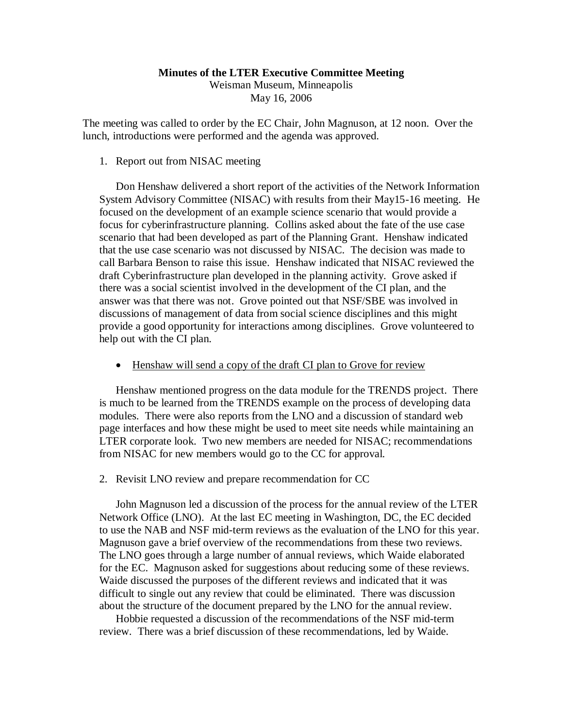#### **Minutes of the LTER Executive Committee Meeting**

Weisman Museum, Minneapolis May 16, 2006

The meeting was called to order by the EC Chair, John Magnuson, at 12 noon. Over the lunch, introductions were performed and the agenda was approved.

## 1. Report out from NISAC meeting

Don Henshaw delivered a short report of the activities of the Network Information System Advisory Committee (NISAC) with results from their May15-16 meeting. He focused on the development of an example science scenario that would provide a focus for cyberinfrastructure planning. Collins asked about the fate of the use case scenario that had been developed as part of the Planning Grant. Henshaw indicated that the use case scenario was not discussed by NISAC. The decision was made to call Barbara Benson to raise this issue. Henshaw indicated that NISAC reviewed the draft Cyberinfrastructure plan developed in the planning activity. Grove asked if there was a social scientist involved in the development of the CI plan, and the answer was that there was not. Grove pointed out that NSF/SBE was involved in discussions of management of data from social science disciplines and this might provide a good opportunity for interactions among disciplines. Grove volunteered to help out with the CI plan.

• Henshaw will send a copy of the draft CI plan to Grove for review

Henshaw mentioned progress on the data module for the TRENDS project. There is much to be learned from the TRENDS example on the process of developing data modules. There were also reports from the LNO and a discussion of standard web page interfaces and how these might be used to meet site needs while maintaining an LTER corporate look. Two new members are needed for NISAC; recommendations from NISAC for new members would go to the CC for approval.

2. Revisit LNO review and prepare recommendation for CC

John Magnuson led a discussion of the process for the annual review of the LTER Network Office (LNO). At the last EC meeting in Washington, DC, the EC decided to use the NAB and NSF mid-term reviews as the evaluation of the LNO for this year. Magnuson gave a brief overview of the recommendations from these two reviews. The LNO goes through a large number of annual reviews, which Waide elaborated for the EC. Magnuson asked for suggestions about reducing some of these reviews. Waide discussed the purposes of the different reviews and indicated that it was difficult to single out any review that could be eliminated. There was discussion about the structure of the document prepared by the LNO for the annual review.

Hobbie requested a discussion of the recommendations of the NSF mid-term review. There was a brief discussion of these recommendations, led by Waide.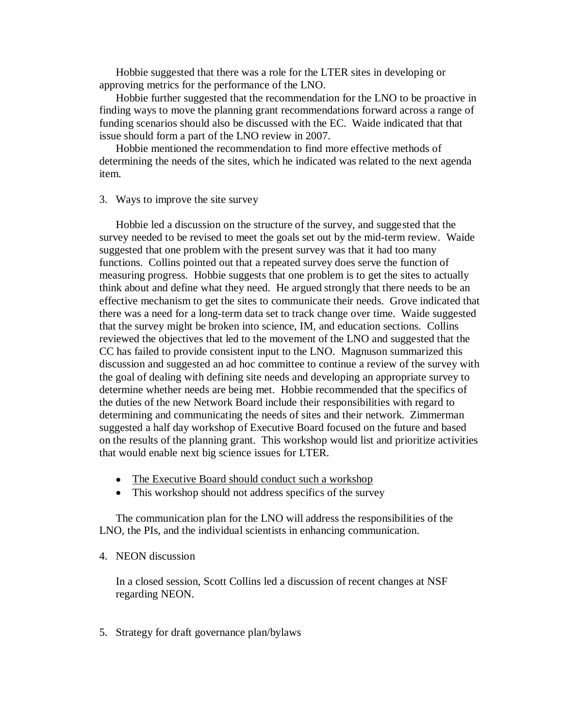Hobbie suggested that there was a role for the LTER sites in developing or approving metrics for the performance of the LNO.

Hobbie further suggested that the recommendation for the LNO to be proactive in finding ways to move the planning grant recommendations forward across a range of funding scenarios should also be discussed with the EC. Waide indicated that that issue should form a part of the LNO review in 2007.

Hobbie mentioned the recommendation to find more effective methods of determining the needs of the sites, which he indicated was related to the next agenda item.

## 3. Ways to improve the site survey

Hobbie led a discussion on the structure of the survey, and suggested that the survey needed to be revised to meet the goals set out by the mid-term review. Waide suggested that one problem with the present survey was that it had too many functions. Collins pointed out that a repeated survey does serve the function of measuring progress. Hobbie suggests that one problem is to get the sites to actually think about and define what they need. He argued strongly that there needs to be an effective mechanism to get the sites to communicate their needs. Grove indicated that there was a need for a long-term data set to track change over time. Waide suggested that the survey might be broken into science, IM, and education sections. Collins reviewed the objectives that led to the movement of the LNO and suggested that the CC has failed to provide consistent input to the LNO. Magnuson summarized this discussion and suggested an ad hoc committee to continue a review of the survey with the goal of dealing with defining site needs and developing an appropriate survey to determine whether needs are being met. Hobbie recommended that the specifics of the duties of the new Network Board include their responsibilities with regard to determining and communicating the needs of sites and their network. Zimmerman suggested a half day workshop of Executive Board focused on the future and based on the results of the planning grant. This workshop would list and prioritize activities that would enable next big science issues for LTER.

- The Executive Board should conduct such a workshop
- This workshop should not address specifics of the survey

The communication plan for the LNO will address the responsibilities of the LNO, the PIs, and the individual scientists in enhancing communication.

## 4. NEON discussion

In a closed session, Scott Collins led a discussion of recent changes at NSF regarding NEON.

5. Strategy for draft governance plan/bylaws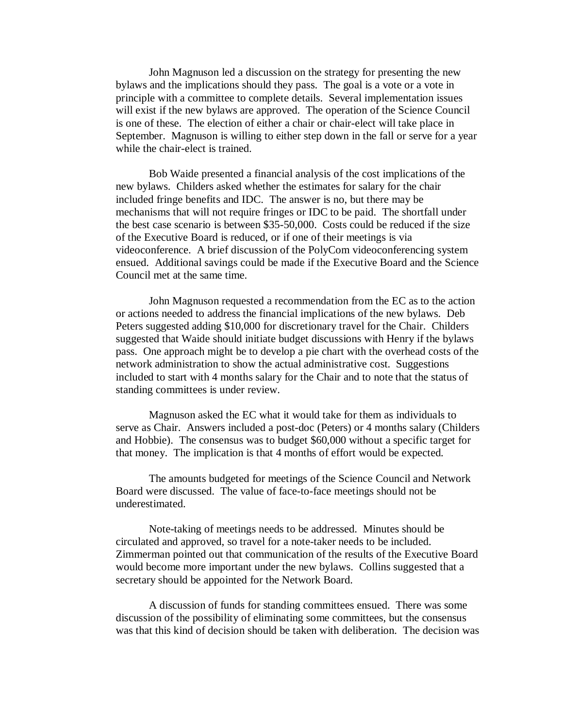John Magnuson led a discussion on the strategy for presenting the new bylaws and the implications should they pass. The goal is a vote or a vote in principle with a committee to complete details. Several implementation issues will exist if the new bylaws are approved. The operation of the Science Council is one of these. The election of either a chair or chair-elect will take place in September. Magnuson is willing to either step down in the fall or serve for a year while the chair-elect is trained.

Bob Waide presented a financial analysis of the cost implications of the new bylaws. Childers asked whether the estimates for salary for the chair included fringe benefits and IDC. The answer is no, but there may be mechanisms that will not require fringes or IDC to be paid. The shortfall under the best case scenario is between \$35-50,000. Costs could be reduced if the size of the Executive Board is reduced, or if one of their meetings is via videoconference. A brief discussion of the PolyCom videoconferencing system ensued. Additional savings could be made if the Executive Board and the Science Council met at the same time.

John Magnuson requested a recommendation from the EC as to the action or actions needed to address the financial implications of the new bylaws. Deb Peters suggested adding \$10,000 for discretionary travel for the Chair. Childers suggested that Waide should initiate budget discussions with Henry if the bylaws pass. One approach might be to develop a pie chart with the overhead costs of the network administration to show the actual administrative cost. Suggestions included to start with 4 months salary for the Chair and to note that the status of standing committees is under review.

Magnuson asked the EC what it would take for them as individuals to serve as Chair. Answers included a post-doc (Peters) or 4 months salary (Childers and Hobbie). The consensus was to budget \$60,000 without a specific target for that money. The implication is that 4 months of effort would be expected.

The amounts budgeted for meetings of the Science Council and Network Board were discussed. The value of face-to-face meetings should not be underestimated.

Note-taking of meetings needs to be addressed. Minutes should be circulated and approved, so travel for a note-taker needs to be included. Zimmerman pointed out that communication of the results of the Executive Board would become more important under the new bylaws. Collins suggested that a secretary should be appointed for the Network Board.

A discussion of funds for standing committees ensued. There was some discussion of the possibility of eliminating some committees, but the consensus was that this kind of decision should be taken with deliberation. The decision was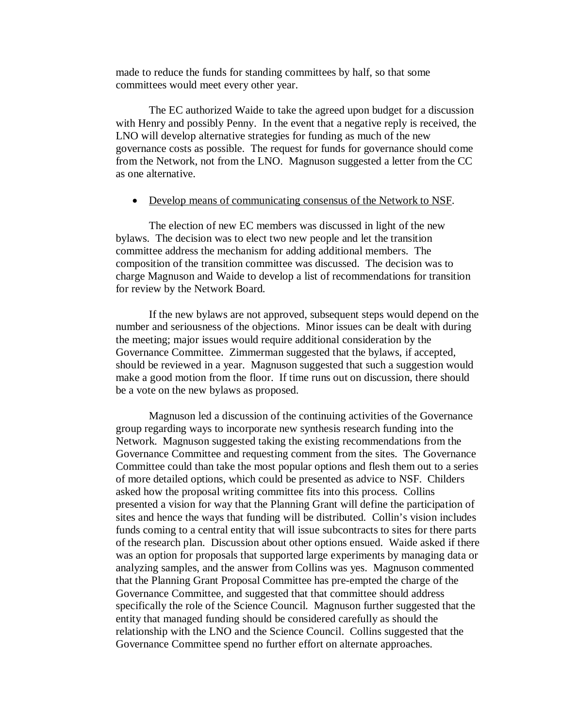made to reduce the funds for standing committees by half, so that some committees would meet every other year.

The EC authorized Waide to take the agreed upon budget for a discussion with Henry and possibly Penny. In the event that a negative reply is received, the LNO will develop alternative strategies for funding as much of the new governance costs as possible. The request for funds for governance should come from the Network, not from the LNO. Magnuson suggested a letter from the CC as one alternative.

# • Develop means of communicating consensus of the Network to NSF.

The election of new EC members was discussed in light of the new bylaws. The decision was to elect two new people and let the transition committee address the mechanism for adding additional members. The composition of the transition committee was discussed. The decision was to charge Magnuson and Waide to develop a list of recommendations for transition for review by the Network Board.

If the new bylaws are not approved, subsequent steps would depend on the number and seriousness of the objections. Minor issues can be dealt with during the meeting; major issues would require additional consideration by the Governance Committee. Zimmerman suggested that the bylaws, if accepted, should be reviewed in a year. Magnuson suggested that such a suggestion would make a good motion from the floor. If time runs out on discussion, there should be a vote on the new bylaws as proposed.

Magnuson led a discussion of the continuing activities of the Governance group regarding ways to incorporate new synthesis research funding into the Network. Magnuson suggested taking the existing recommendations from the Governance Committee and requesting comment from the sites. The Governance Committee could than take the most popular options and flesh them out to a series of more detailed options, which could be presented as advice to NSF. Childers asked how the proposal writing committee fits into this process. Collins presented a vision for way that the Planning Grant will define the participation of sites and hence the ways that funding will be distributed. Collin's vision includes funds coming to a central entity that will issue subcontracts to sites for there parts of the research plan. Discussion about other options ensued. Waide asked if there was an option for proposals that supported large experiments by managing data or analyzing samples, and the answer from Collins was yes. Magnuson commented that the Planning Grant Proposal Committee has pre-empted the charge of the Governance Committee, and suggested that that committee should address specifically the role of the Science Council. Magnuson further suggested that the entity that managed funding should be considered carefully as should the relationship with the LNO and the Science Council. Collins suggested that the Governance Committee spend no further effort on alternate approaches.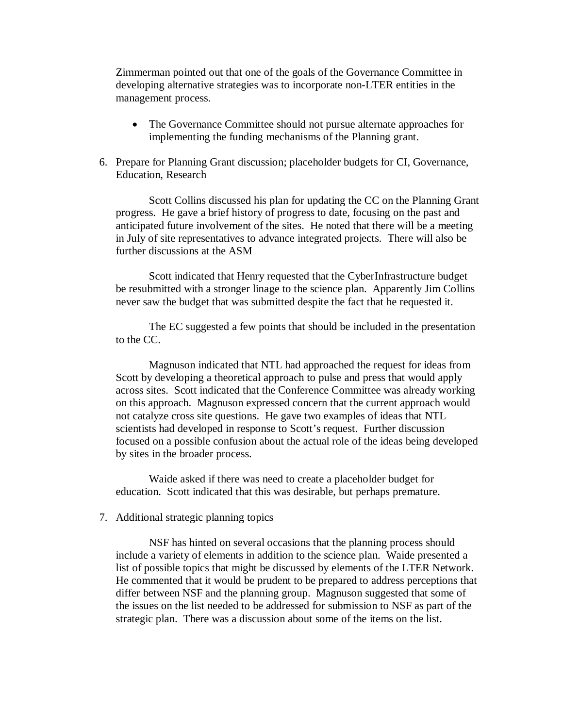Zimmerman pointed out that one of the goals of the Governance Committee in developing alternative strategies was to incorporate non-LTER entities in the management process.

- The Governance Committee should not pursue alternate approaches for implementing the funding mechanisms of the Planning grant.
- 6. Prepare for Planning Grant discussion; placeholder budgets for CI, Governance, Education, Research

Scott Collins discussed his plan for updating the CC on the Planning Grant progress. He gave a brief history of progress to date, focusing on the past and anticipated future involvement of the sites. He noted that there will be a meeting in July of site representatives to advance integrated projects. There will also be further discussions at the ASM

Scott indicated that Henry requested that the CyberInfrastructure budget be resubmitted with a stronger linage to the science plan. Apparently Jim Collins never saw the budget that was submitted despite the fact that he requested it.

The EC suggested a few points that should be included in the presentation to the CC.

Magnuson indicated that NTL had approached the request for ideas from Scott by developing a theoretical approach to pulse and press that would apply across sites. Scott indicated that the Conference Committee was already working on this approach. Magnuson expressed concern that the current approach would not catalyze cross site questions. He gave two examples of ideas that NTL scientists had developed in response to Scott's request. Further discussion focused on a possible confusion about the actual role of the ideas being developed by sites in the broader process.

Waide asked if there was need to create a placeholder budget for education. Scott indicated that this was desirable, but perhaps premature.

7. Additional strategic planning topics

NSF has hinted on several occasions that the planning process should include a variety of elements in addition to the science plan. Waide presented a list of possible topics that might be discussed by elements of the LTER Network. He commented that it would be prudent to be prepared to address perceptions that differ between NSF and the planning group. Magnuson suggested that some of the issues on the list needed to be addressed for submission to NSF as part of the strategic plan. There was a discussion about some of the items on the list.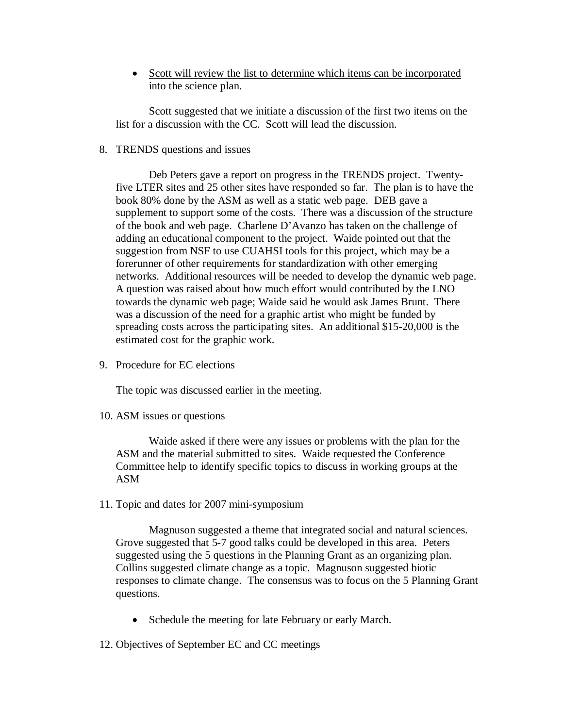• Scott will review the list to determine which items can be incorporated into the science plan.

Scott suggested that we initiate a discussion of the first two items on the list for a discussion with the CC. Scott will lead the discussion.

8. TRENDS questions and issues

Deb Peters gave a report on progress in the TRENDS project. Twentyfive LTER sites and 25 other sites have responded so far. The plan is to have the book 80% done by the ASM as well as a static web page. DEB gave a supplement to support some of the costs. There was a discussion of the structure of the book and web page. Charlene D'Avanzo has taken on the challenge of adding an educational component to the project. Waide pointed out that the suggestion from NSF to use CUAHSI tools for this project, which may be a forerunner of other requirements for standardization with other emerging networks. Additional resources will be needed to develop the dynamic web page. A question was raised about how much effort would contributed by the LNO towards the dynamic web page; Waide said he would ask James Brunt. There was a discussion of the need for a graphic artist who might be funded by spreading costs across the participating sites. An additional \$15-20,000 is the estimated cost for the graphic work.

9. Procedure for EC elections

The topic was discussed earlier in the meeting.

10. ASM issues or questions

Waide asked if there were any issues or problems with the plan for the ASM and the material submitted to sites. Waide requested the Conference Committee help to identify specific topics to discuss in working groups at the ASM

11. Topic and dates for 2007 mini-symposium

Magnuson suggested a theme that integrated social and natural sciences. Grove suggested that 5-7 good talks could be developed in this area. Peters suggested using the 5 questions in the Planning Grant as an organizing plan. Collins suggested climate change as a topic. Magnuson suggested biotic responses to climate change. The consensus was to focus on the 5 Planning Grant questions.

• Schedule the meeting for late February or early March.

12. Objectives of September EC and CC meetings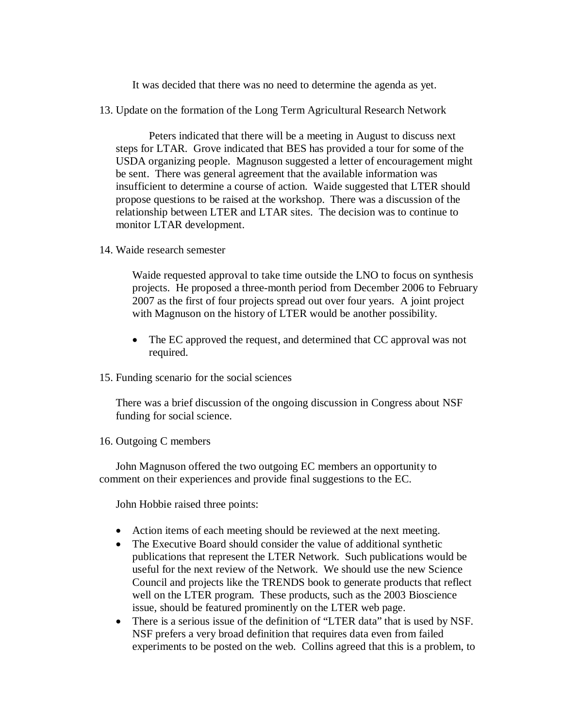It was decided that there was no need to determine the agenda as yet.

13. Update on the formation of the Long Term Agricultural Research Network

Peters indicated that there will be a meeting in August to discuss next steps for LTAR. Grove indicated that BES has provided a tour for some of the USDA organizing people. Magnuson suggested a letter of encouragement might be sent. There was general agreement that the available information was insufficient to determine a course of action. Waide suggested that LTER should propose questions to be raised at the workshop. There was a discussion of the relationship between LTER and LTAR sites. The decision was to continue to monitor LTAR development.

14. Waide research semester

Waide requested approval to take time outside the LNO to focus on synthesis projects. He proposed a three-month period from December 2006 to February 2007 as the first of four projects spread out over four years. A joint project with Magnuson on the history of LTER would be another possibility.

- The EC approved the request, and determined that CC approval was not required.
- 15. Funding scenario for the social sciences

There was a brief discussion of the ongoing discussion in Congress about NSF funding for social science.

16. Outgoing C members

John Magnuson offered the two outgoing EC members an opportunity to comment on their experiences and provide final suggestions to the EC.

John Hobbie raised three points:

- Action items of each meeting should be reviewed at the next meeting.
- The Executive Board should consider the value of additional synthetic publications that represent the LTER Network. Such publications would be useful for the next review of the Network. We should use the new Science Council and projects like the TRENDS book to generate products that reflect well on the LTER program. These products, such as the 2003 Bioscience issue, should be featured prominently on the LTER web page.
- There is a serious issue of the definition of "LTER data" that is used by NSF. NSF prefers a very broad definition that requires data even from failed experiments to be posted on the web. Collins agreed that this is a problem, to